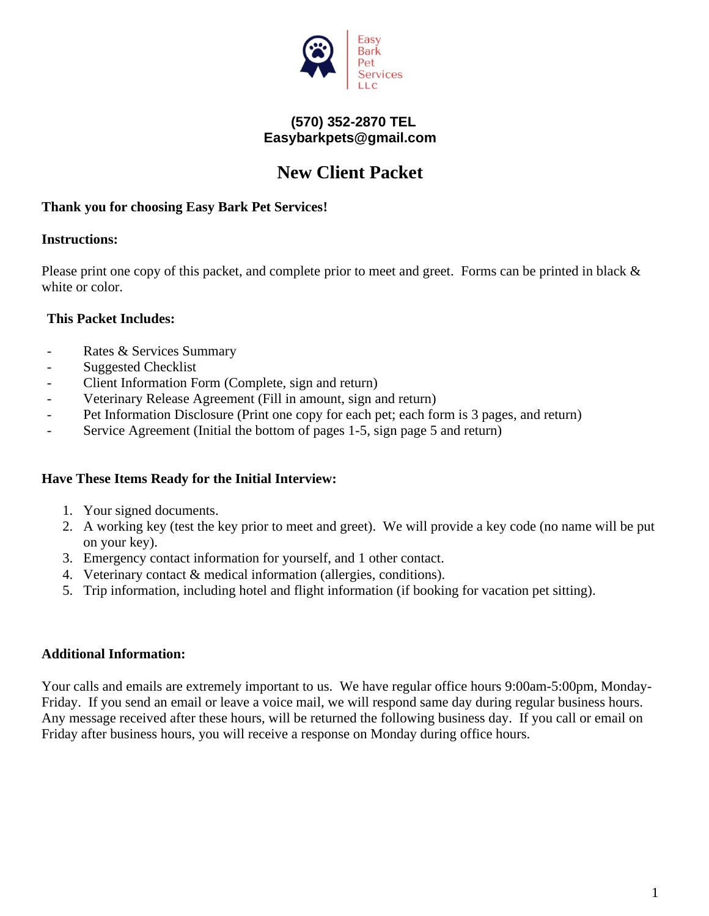

## **(570) 352-2870 TEL Easybarkpets@gmail.com**

## **New Client Packet**

### **Thank you for choosing Easy Bark Pet Services!**

### **Instructions:**

Please print one copy of this packet, and complete prior to meet and greet. Forms can be printed in black & white or color.

### **This Packet Includes:**

- Rates & Services Summary
- Suggested Checklist
- Client Information Form (Complete, sign and return)
- Veterinary Release Agreement (Fill in amount, sign and return)
- Pet Information Disclosure (Print one copy for each pet; each form is 3 pages, and return)
- Service Agreement (Initial the bottom of pages 1-5, sign page 5 and return)

### **Have These Items Ready for the Initial Interview:**

- 1. Your signed documents.
- 2. A working key (test the key prior to meet and greet). We will provide a key code (no name will be put on your key).
- 3. Emergency contact information for yourself, and 1 other contact.
- 4. Veterinary contact & medical information (allergies, conditions).
- 5. Trip information, including hotel and flight information (if booking for vacation pet sitting).

## **Additional Information:**

Your calls and emails are extremely important to us. We have regular office hours 9:00am-5:00pm, Monday-Friday. If you send an email or leave a voice mail, we will respond same day during regular business hours. Any message received after these hours, will be returned the following business day. If you call or email on Friday after business hours, you will receive a response on Monday during office hours.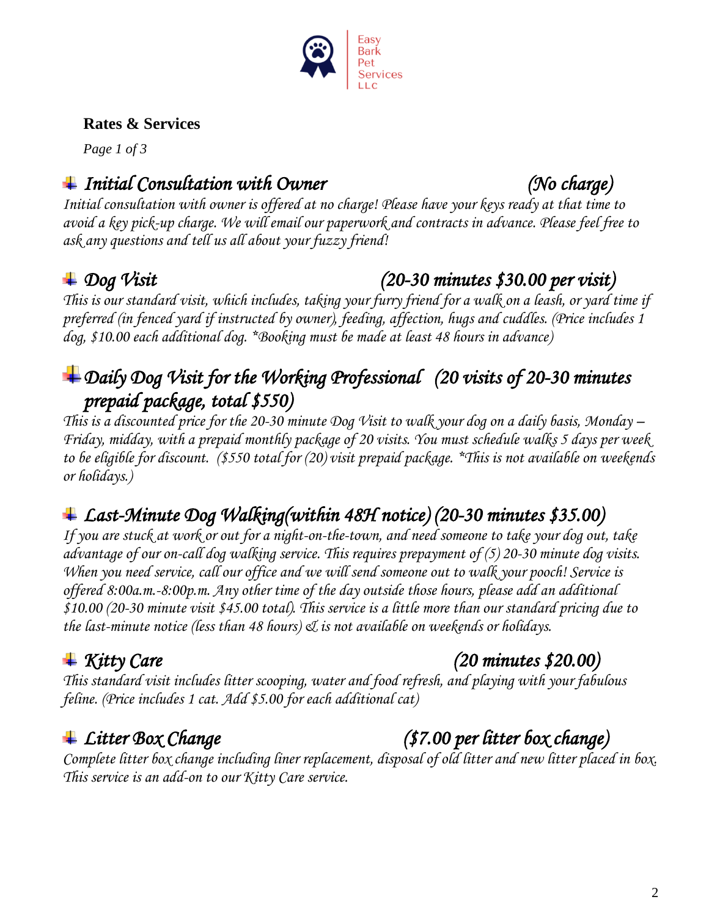

## **Rates & Services**

 *Page 1 of 3*

## *Initial Consultation with Owner (No charge)*

*Initial consultation with owner is offered at no charge! Please have your keys ready at that time to avoid a key pick-up charge. We will email our paperwork and contracts in advance. Please feel free to ask any questions and tell us all about your fuzzy friend!*

# *Dog Visit (20-30 minutes \$30.00 per visit)*

*This is our standard visit, which includes, taking your furry friend for a walk on a leash, or yard time if preferred (in fenced yard if instructed by owner), feeding, affection, hugs and cuddles. (Price includes 1 dog, \$10.00 each additional dog. \*Booking must be made at least 48 hours in advance)* 

# *Daily Dog Visit for the Working Professional (20 visits of 20-30 minutes prepaid package, total \$550)*

*This is a discounted price for the 20-30 minute Dog Visit to walk your dog on a daily basis, Monday – Friday, midday, with a prepaid monthly package of 20 visits. You must schedule walks 5 days per week to be eligible for discount. (\$550 total for (20) visit prepaid package. \*This is not available on weekends or holidays.)*

# *Last-Minute Dog Walking(within 48H notice) (20-30 minutes \$35.00)*

*If you are stuck at work or out for a night-on-the-town, and need someone to take your dog out, take advantage of our on-call dog walking service. This requires prepayment of (5) 20-30 minute dog visits. When you need service, call our office and we will send someone out to walk your pooch! Service is offered 8:00a.m.-8:00p.m. Any other time of the day outside those hours, please add an additional \$10.00 (20-30 minute visit \$45.00 total). This service is a little more than our standard pricing due to the last-minute notice (less than 48 hours) & is not available on weekends or holidays.* 

## *Kitty Care (20 minutes \$20.00)*

*This standard visit includes litter scooping, water and food refresh, and playing with your fabulous feline. (Price includes 1 cat. Add \$5.00 for each additional cat)*

# *Litter Box Change (\$7.00 per litter box change)*

*Complete litter box change including liner replacement, disposal of old litter and new litter placed in box. This service is an add-on to our Kitty Care service.*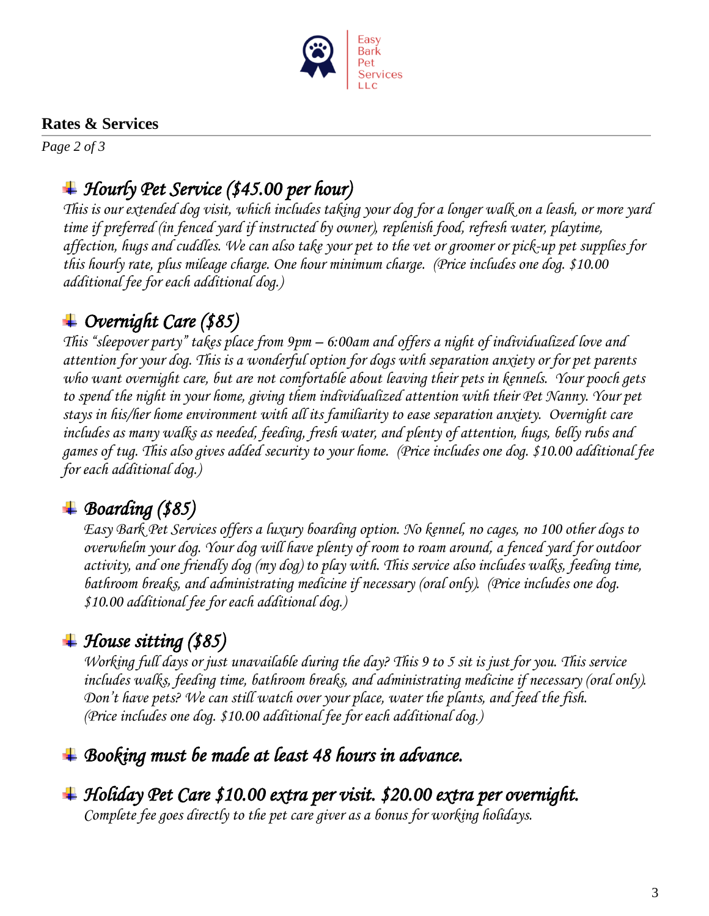

## **Rates & Services**

*Page 2 of 3*

## *Hourly Pet Service (\$45.00 per hour)*

*This is our extended dog visit, which includes taking your dog for a longer walk on a leash, or more yard time if preferred (in fenced yard if instructed by owner), replenish food, refresh water, playtime, affection, hugs and cuddles. We can also take your pet to the vet or groomer or pick-up pet supplies for this hourly rate, plus mileage charge. One hour minimum charge. (Price includes one dog. \$10.00 additional fee for each additional dog.)* 

# *Overnight Care (\$85)*

*This "sleepover party" takes place from 9pm – 6:00am and offers a night of individualized love and attention for your dog. This is a wonderful option for dogs with separation anxiety or for pet parents who want overnight care, but are not comfortable about leaving their pets in kennels. Your pooch gets to spend the night in your home, giving them individualized attention with their Pet Nanny. Your pet stays in his/her home environment with all its familiarity to ease separation anxiety. Overnight care includes as many walks as needed, feeding, fresh water, and plenty of attention, hugs, belly rubs and games of tug. This also gives added security to your home. (Price includes one dog. \$10.00 additional fee for each additional dog.)*

## *Boarding (\$85)*

*Easy Bark Pet Services offers a luxury boarding option. No kennel, no cages, no 100 other dogs to overwhelm your dog. Your dog will have plenty of room to roam around, a fenced yard for outdoor activity, and one friendly dog (my dog) to play with. This service also includes walks, feeding time, bathroom breaks, and administrating medicine if necessary (oral only). (Price includes one dog. \$10.00 additional fee for each additional dog.)*

## *House sitting (\$85)*

*Working full days or just unavailable during the day? This 9 to 5 sit is just for you. This service includes walks, feeding time, bathroom breaks, and administrating medicine if necessary (oral only). Don't have pets? We can still watch over your place, water the plants, and feed the fish. (Price includes one dog. \$10.00 additional fee for each additional dog.)*

## *Booking must be made at least 48 hours in advance.*

# *Holiday Pet Care \$10.00 extra per visit. \$20.00 extra per overnight.*

*Complete fee goes directly to the pet care giver as a bonus for working holidays.*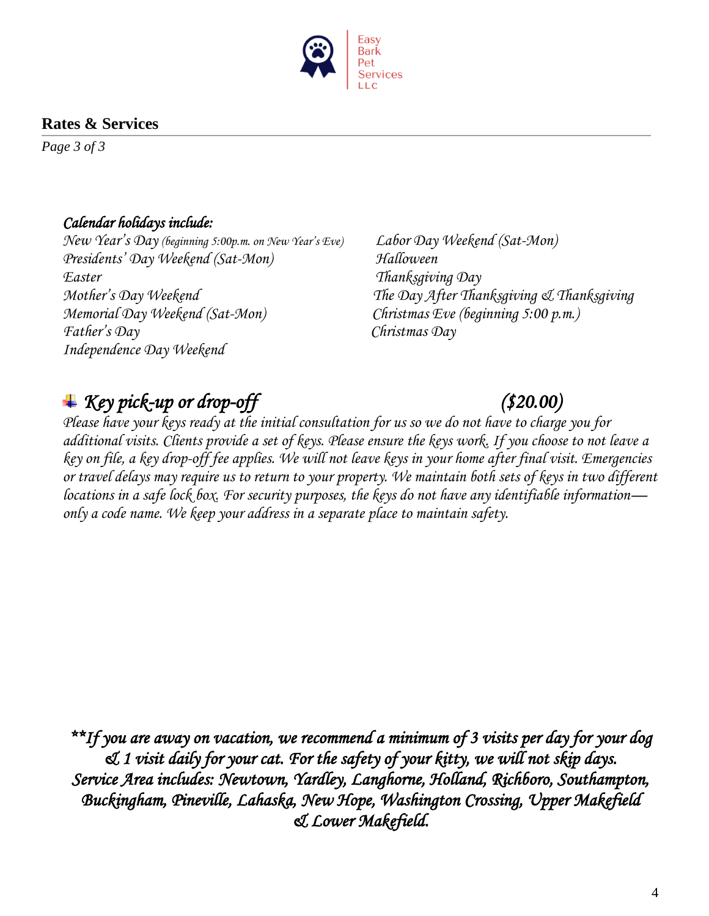

## **Rates & Services**

*Page 3 of 3*

## *Calendar holidays include:*

*New Year's Day (beginning 5:00p.m. on New Year's Eve) Labor Day Weekend (Sat-Mon) Presidents' Day Weekend (Sat-Mon) Halloween Easter Thanksgiving Day Mother's Day Weekend The Day After Thanksgiving & Thanksgiving Memorial Day Weekend (Sat-Mon) Christmas Eve (beginning 5:00 p.m.) Father's Day Christmas Day Independence Day Weekend* 

# *Key pick-up or drop-off (\$20.00)*

*Please have your keys ready at the initial consultation for us so we do not have to charge you for additional visits. Clients provide a set of keys. Please ensure the keys work. If you choose to not leave a key on file, a key drop-off fee applies. We will not leave keys in your home after final visit. Emergencies or travel delays may require us to return to your property. We maintain both sets of keys in two different locations in a safe lock box. For security purposes, the keys do not have any identifiable information only a code name. We keep your address in a separate place to maintain safety.*

*\*\*If you are away on vacation, we recommend a minimum of 3 visits per day for your dog & 1 visit daily for your cat. For the safety of your kitty, we will not skip days. Service Area includes: Newtown, Yardley, Langhorne, Holland, Richboro, Southampton, Buckingham, Pineville, Lahaska, New Hope, Washington Crossing, Upper Makefield & Lower Makefield.*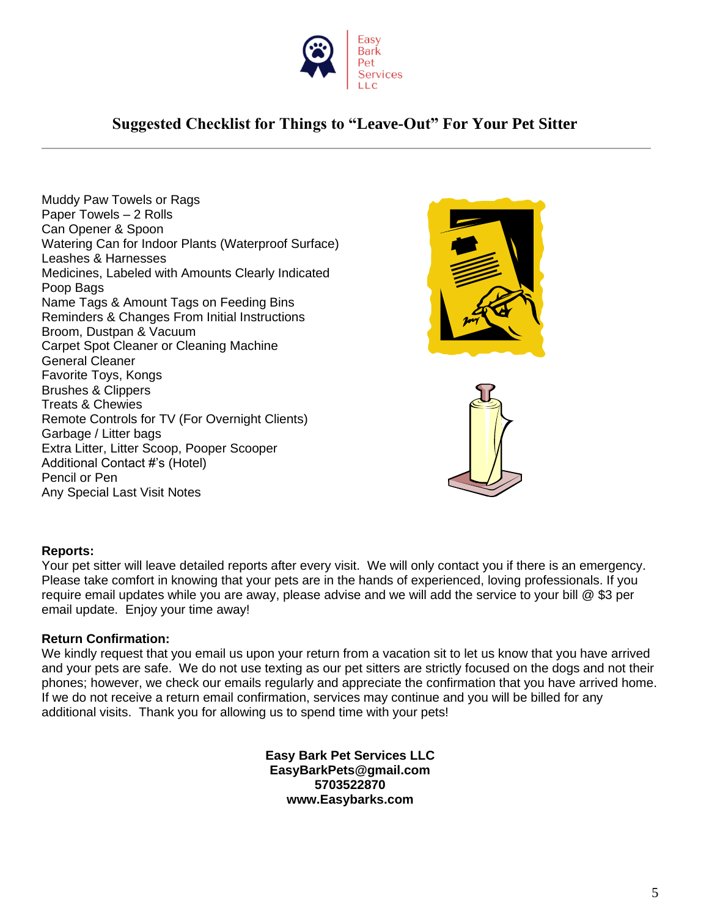

## **Suggested Checklist for Things to "Leave-Out" For Your Pet Sitter**

Muddy Paw Towels or Rags Paper Towels – 2 Rolls Can Opener & Spoon Watering Can for Indoor Plants (Waterproof Surface) Leashes & Harnesses Medicines, Labeled with Amounts Clearly Indicated Poop Bags Name Tags & Amount Tags on Feeding Bins Reminders & Changes From Initial Instructions Broom, Dustpan & Vacuum Carpet Spot Cleaner or Cleaning Machine General Cleaner Favorite Toys, Kongs Brushes & Clippers Treats & Chewies Remote Controls for TV (For Overnight Clients) Garbage / Litter bags Extra Litter, Litter Scoop, Pooper Scooper Additional Contact #'s (Hotel) Pencil or Pen Any Special Last Visit Notes



#### **Reports:**

Your pet sitter will leave detailed reports after every visit. We will only contact you if there is an emergency. Please take comfort in knowing that your pets are in the hands of experienced, loving professionals. If you require email updates while you are away, please advise and we will add the service to your bill @ \$3 per email update. Enjoy your time away!

#### **Return Confirmation:**

We kindly request that you email us upon your return from a vacation sit to let us know that you have arrived and your pets are safe. We do not use texting as our pet sitters are strictly focused on the dogs and not their phones; however, we check our emails regularly and appreciate the confirmation that you have arrived home. If we do not receive a return email confirmation, services may continue and you will be billed for any additional visits. Thank you for allowing us to spend time with your pets!

> **Easy Bark Pet Services LLC EasyBarkPets@gmail.com 5703522870 www.Easybarks.com**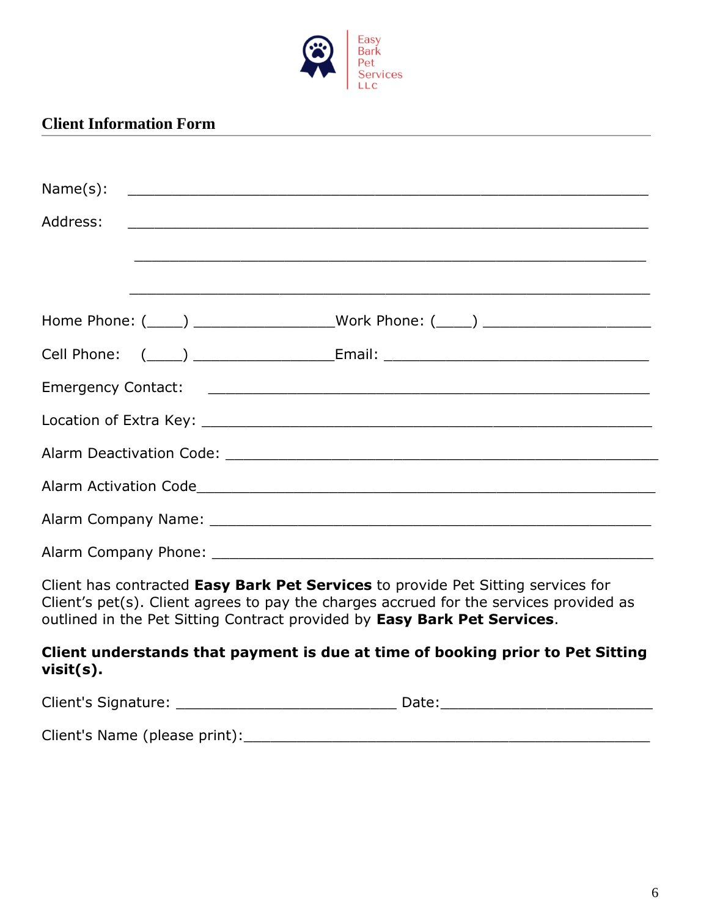

#### **Client Information Form**

| Name(s):                                                                                                                                                                                                                                               |  | <u> 1989 - Jan James James James James James James James James James James James James James James James James J</u>  |  |  |  |
|--------------------------------------------------------------------------------------------------------------------------------------------------------------------------------------------------------------------------------------------------------|--|-----------------------------------------------------------------------------------------------------------------------|--|--|--|
| Address:                                                                                                                                                                                                                                               |  |                                                                                                                       |  |  |  |
|                                                                                                                                                                                                                                                        |  | <u> 1989 - Johann Barbara, marka marka masjid aka masjid aka masjid aka masjid aka masjid aka masjid aka masjid a</u> |  |  |  |
|                                                                                                                                                                                                                                                        |  |                                                                                                                       |  |  |  |
|                                                                                                                                                                                                                                                        |  | Home Phone: (____) ___________________Work Phone: (____) _______________________                                      |  |  |  |
|                                                                                                                                                                                                                                                        |  | Cell Phone: (____) _______________________Email: _______________________________                                      |  |  |  |
|                                                                                                                                                                                                                                                        |  |                                                                                                                       |  |  |  |
|                                                                                                                                                                                                                                                        |  |                                                                                                                       |  |  |  |
|                                                                                                                                                                                                                                                        |  |                                                                                                                       |  |  |  |
|                                                                                                                                                                                                                                                        |  |                                                                                                                       |  |  |  |
|                                                                                                                                                                                                                                                        |  |                                                                                                                       |  |  |  |
|                                                                                                                                                                                                                                                        |  |                                                                                                                       |  |  |  |
| Client has contracted Easy Bark Pet Services to provide Pet Sitting services for<br>Client's pet(s). Client agrees to pay the charges accrued for the services provided as<br>outlined in the Pet Sitting Contract provided by Easy Bark Pet Services. |  |                                                                                                                       |  |  |  |
| $visit(s)$ .                                                                                                                                                                                                                                           |  | Client understands that payment is due at time of booking prior to Pet Sitting                                        |  |  |  |
|                                                                                                                                                                                                                                                        |  |                                                                                                                       |  |  |  |
|                                                                                                                                                                                                                                                        |  |                                                                                                                       |  |  |  |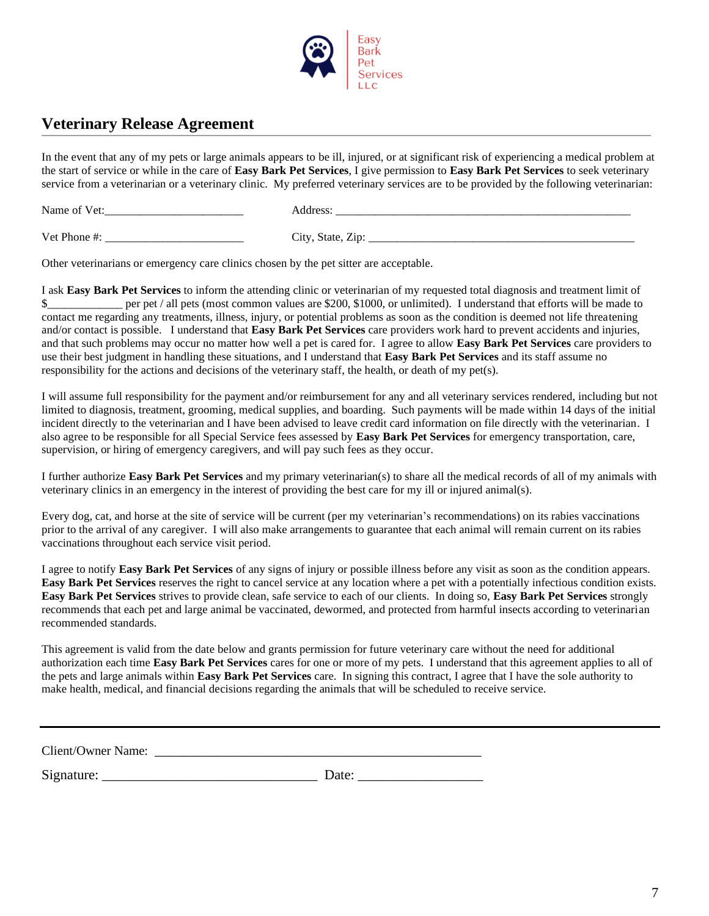

#### **Veterinary Release Agreement**

In the event that any of my pets or large animals appears to be ill, injured, or at significant risk of experiencing a medical problem at the start of service or while in the care of **Easy Bark Pet Services**, I give permission to **Easy Bark Pet Services** to seek veterinary service from a veterinarian or a veterinary clinic. My preferred veterinary services are to be provided by the following veterinarian:

Name of Vet:  $\blacksquare$ 

Vet Phone #: \_\_\_\_\_\_\_\_\_\_\_\_\_\_\_\_\_\_\_\_\_\_\_\_ City, State, Zip: \_\_\_\_\_\_\_\_\_\_\_\_\_\_\_\_\_\_\_\_\_\_\_\_\_\_\_\_\_\_\_\_\_\_\_\_\_\_\_\_\_\_\_\_\_\_

Other veterinarians or emergency care clinics chosen by the pet sitter are acceptable.

I ask **Easy Bark Pet Services** to inform the attending clinic or veterinarian of my requested total diagnosis and treatment limit of \$\_\_\_\_\_\_\_\_\_\_\_ per pet / all pets (most common values are \$200, \$1000, or unlimited). I understand that efforts will be made to contact me regarding any treatments, illness, injury, or potential problems as soon as the condition is deemed not life threatening and/or contact is possible. I understand that **Easy Bark Pet Services** care providers work hard to prevent accidents and injuries, and that such problems may occur no matter how well a pet is cared for. I agree to allow **Easy Bark Pet Services** care providers to use their best judgment in handling these situations, and I understand that **Easy Bark Pet Services** and its staff assume no responsibility for the actions and decisions of the veterinary staff, the health, or death of my pet(s).

I will assume full responsibility for the payment and/or reimbursement for any and all veterinary services rendered, including but not limited to diagnosis, treatment, grooming, medical supplies, and boarding. Such payments will be made within 14 days of the initial incident directly to the veterinarian and I have been advised to leave credit card information on file directly with the veterinarian. I also agree to be responsible for all Special Service fees assessed by **Easy Bark Pet Services** for emergency transportation, care, supervision, or hiring of emergency caregivers, and will pay such fees as they occur.

I further authorize **Easy Bark Pet Services** and my primary veterinarian(s) to share all the medical records of all of my animals with veterinary clinics in an emergency in the interest of providing the best care for my ill or injured animal(s).

Every dog, cat, and horse at the site of service will be current (per my veterinarian's recommendations) on its rabies vaccinations prior to the arrival of any caregiver. I will also make arrangements to guarantee that each animal will remain current on its rabies vaccinations throughout each service visit period.

I agree to notify **Easy Bark Pet Services** of any signs of injury or possible illness before any visit as soon as the condition appears. **Easy Bark Pet Services** reserves the right to cancel service at any location where a pet with a potentially infectious condition exists. **Easy Bark Pet Services** strives to provide clean, safe service to each of our clients. In doing so, **Easy Bark Pet Services** strongly recommends that each pet and large animal be vaccinated, dewormed, and protected from harmful insects according to veterinarian recommended standards.

This agreement is valid from the date below and grants permission for future veterinary care without the need for additional authorization each time **Easy Bark Pet Services** cares for one or more of my pets. I understand that this agreement applies to all of the pets and large animals within **Easy Bark Pet Services** care. In signing this contract, I agree that I have the sole authority to make health, medical, and financial decisions regarding the animals that will be scheduled to receive service.

Client/Owner Name: \_\_\_\_\_\_\_\_\_\_\_\_\_\_\_\_\_\_\_\_\_\_\_\_\_\_\_\_\_\_\_\_\_\_\_\_\_\_\_\_\_\_\_\_\_\_\_

Signature:  $\Box$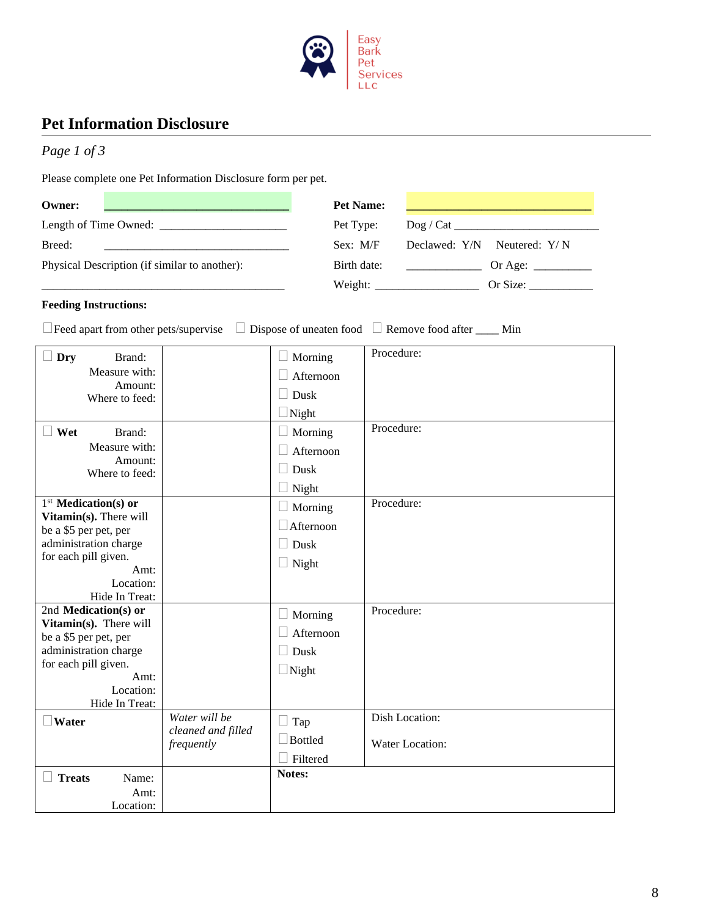

#### **Pet Information Disclosure**

| Page 1 of 3 |  |  |
|-------------|--|--|
|-------------|--|--|

Please complete one Pet Information Disclosure form per pet.

| Owner:<br><u> 1989 - Jan Barnett, fransk politiker (d. 1989)</u> | Pet Name:                                                              |
|------------------------------------------------------------------|------------------------------------------------------------------------|
| Length of Time Owned:                                            | Pet Type:                                                              |
| Breed:                                                           | Declawed: $Y/N$ Neutered: $Y/N$<br>Sex: M/F                            |
| Physical Description (if similar to another):                    | Birth date:<br>Or Age: $\frac{ }{ }$                                   |
|                                                                  | Weight:<br>Or Size: $\frac{1}{\sqrt{1-\frac{1}{2}} \cdot \frac{1}{2}}$ |

#### **Feeding Instructions:**

Feed apart from other pets/supervise Dispose of uneaten food Remove food after \_\_\_\_ Min

| Dry<br>Brand:<br>Measure with:<br>Amount:<br>Where to feed:<br>Wet<br>Brand:<br>Measure with:<br>Amount:<br>Where to feed:                                                                                                                             |                                                   | Morning<br>Afternoon<br>Dusk<br>Night<br>Morning<br>Afternoon<br>Dusk<br>Night | Procedure:<br>Procedure:          |
|--------------------------------------------------------------------------------------------------------------------------------------------------------------------------------------------------------------------------------------------------------|---------------------------------------------------|--------------------------------------------------------------------------------|-----------------------------------|
| 1 <sup>st</sup> Medication(s) or<br>Vitamin(s). There will<br>be a \$5 per pet, per<br>administration charge<br>for each pill given.<br>Amt:<br>Location:<br>Hide In Treat:<br>2nd Medication(s) or<br>Vitamin(s). There will<br>be a \$5 per pet, per |                                                   | Morning<br>Afternoon<br>Dusk<br>$\Box$ Night<br>Morning<br>Afternoon           | Procedure:<br>Procedure:          |
| administration charge<br>for each pill given.<br>Amt:<br>Location:<br>Hide In Treat:                                                                                                                                                                   |                                                   | Dusk<br>$\Box$ Night                                                           |                                   |
| Water                                                                                                                                                                                                                                                  | Water will be<br>cleaned and filled<br>frequently | Tap<br><b>Bottled</b><br>Filtered                                              | Dish Location:<br>Water Location: |
| <b>Treats</b><br>Name:<br>Amt:<br>Location:                                                                                                                                                                                                            |                                                   | Notes:                                                                         |                                   |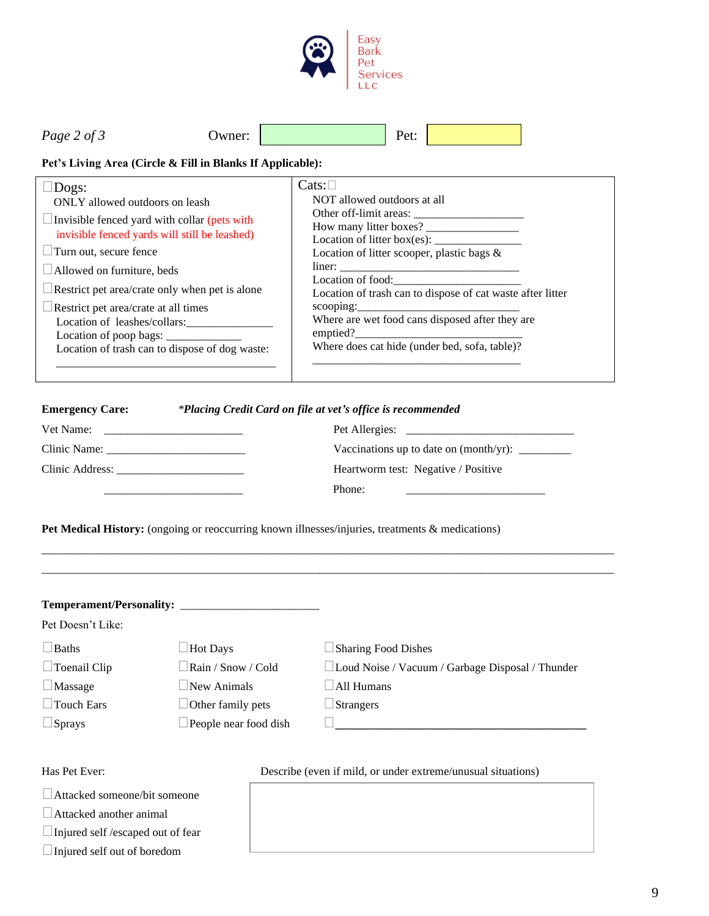

| $\sim$<br>Page 2 of | Jwner: | ノヘキ<br>UL. |  |
|---------------------|--------|------------|--|

#### **Pet's Living Area (Circle & Fill in Blanks If Applicable):**

| $\Box$ Restrict pet area/crate at all times<br>Where are wet food cans disposed after they are<br>Location of leashes/collars:<br>emptied?<br>Location of poop bags: $\frac{\ }{\ }$<br>Where does cat hide (under bed, sofa, table)?<br>Location of trash can to dispose of dog waste: |
|-----------------------------------------------------------------------------------------------------------------------------------------------------------------------------------------------------------------------------------------------------------------------------------------|
|-----------------------------------------------------------------------------------------------------------------------------------------------------------------------------------------------------------------------------------------------------------------------------------------|

#### **Emergency Care:** *\*Placing Credit Card on file at vet's office is recommended*

| Vet Name:       | Pet Allergies:                      |
|-----------------|-------------------------------------|
| Clinic Name:    |                                     |
| Clinic Address: | Heartworm test: Negative / Positive |
|                 | Phone:                              |

Pet Medical History: (ongoing or reoccurring known illnesses/injuries, treatments & medications)

| <b>Temperament/Personality:</b> |                              |                                                  |
|---------------------------------|------------------------------|--------------------------------------------------|
| Pet Doesn't Like:               |                              |                                                  |
| $\Box$ Baths                    | $\Box$ Hot Days              | $\Box$ Sharing Food Dishes                       |
| $\Box$ Toenail Clip             | $\Box$ Rain / Snow / Cold    | Loud Noise / Vacuum / Garbage Disposal / Thunder |
| $\Box$ Massage                  | $\Box$ New Animals           | $\Box$ All Humans                                |
| $\Box$ Touch Ears               | $\Box$ Other family pets     | $\Box$ Strangers                                 |
| $\Box$ Sprays                   | $\Box$ People near food dish |                                                  |
|                                 |                              |                                                  |
|                                 |                              |                                                  |

\_\_\_\_\_\_\_\_\_\_\_\_\_\_\_\_\_\_\_\_\_\_\_\_\_\_\_\_\_\_\_\_\_\_\_\_\_\_\_\_\_\_\_\_\_\_\_\_\_\_\_\_\_\_\_\_\_\_\_\_\_\_\_\_\_\_\_\_\_\_\_\_\_\_\_\_\_\_\_\_\_\_\_\_\_\_\_\_\_\_\_\_\_\_\_\_\_\_\_ \_\_\_\_\_\_\_\_\_\_\_\_\_\_\_\_\_\_\_\_\_\_\_\_\_\_\_\_\_\_\_\_\_\_\_\_\_\_\_\_\_\_\_\_\_\_\_\_\_\_\_\_\_\_\_\_\_\_\_\_\_\_\_\_\_\_\_\_\_\_\_\_\_\_\_\_\_\_\_\_\_\_\_\_\_\_\_\_\_\_\_\_\_\_\_\_\_\_\_

Attacked someone/bit someone

Attacked another animal

Injured self /escaped out of fear

Injured self out of boredom

#### Has Pet Ever: Describe (even if mild, or under extreme/unusual situations)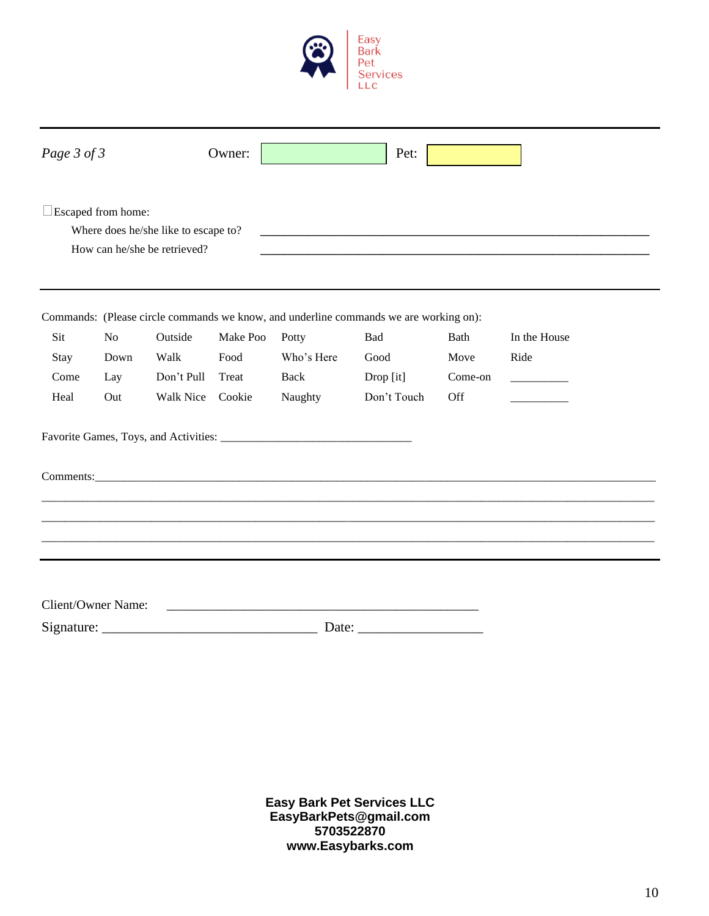

| Page 3 of 3                         |      |                                                                                                                        | Owner:   |                                | Pet:                                                                                  |         |                        |  |
|-------------------------------------|------|------------------------------------------------------------------------------------------------------------------------|----------|--------------------------------|---------------------------------------------------------------------------------------|---------|------------------------|--|
| $\square$ Escaped from home:        |      | Where does he/she like to escape to?<br>How can he/she be retrieved?                                                   |          |                                |                                                                                       |         |                        |  |
|                                     |      |                                                                                                                        |          |                                | Commands: (Please circle commands we know, and underline commands we are working on): |         |                        |  |
| Sit                                 | No   | Outside                                                                                                                | Make Poo | Potty                          | Bad                                                                                   | Bath    | In the House           |  |
| Stay                                | Down | Walk                                                                                                                   | Food     | Who's Here                     | Good                                                                                  | Move    | Ride                   |  |
| Come                                | Lay  | Don't Pull                                                                                                             | Treat    | Back                           | Drop [it]                                                                             | Come-on | and the control of the |  |
| Heal                                | Out  | Walk Nice                                                                                                              | Cookie   | Naughty                        | Don't Touch                                                                           | Off     |                        |  |
|                                     |      |                                                                                                                        |          |                                |                                                                                       |         |                        |  |
|                                     |      |                                                                                                                        |          |                                | Comments: Commercial Comments:                                                        |         |                        |  |
|                                     |      |                                                                                                                        |          |                                |                                                                                       |         |                        |  |
|                                     |      |                                                                                                                        |          |                                |                                                                                       |         |                        |  |
|                                     |      |                                                                                                                        |          |                                |                                                                                       |         |                        |  |
| Client/Owner Name:                  |      |                                                                                                                        |          |                                |                                                                                       |         |                        |  |
| Signature: $\overline{\phantom{a}}$ |      | <u> 1989 - Johann Stoff, deutscher Stoffen und der Stoffen und der Stoffen und der Stoffen und der Stoffen und der</u> |          | Date: $\overline{\phantom{a}}$ |                                                                                       |         |                        |  |

**Easy Bark Pet Services LLC EasyBarkPets@gmail.com 5703522870 www.Easybarks.com**